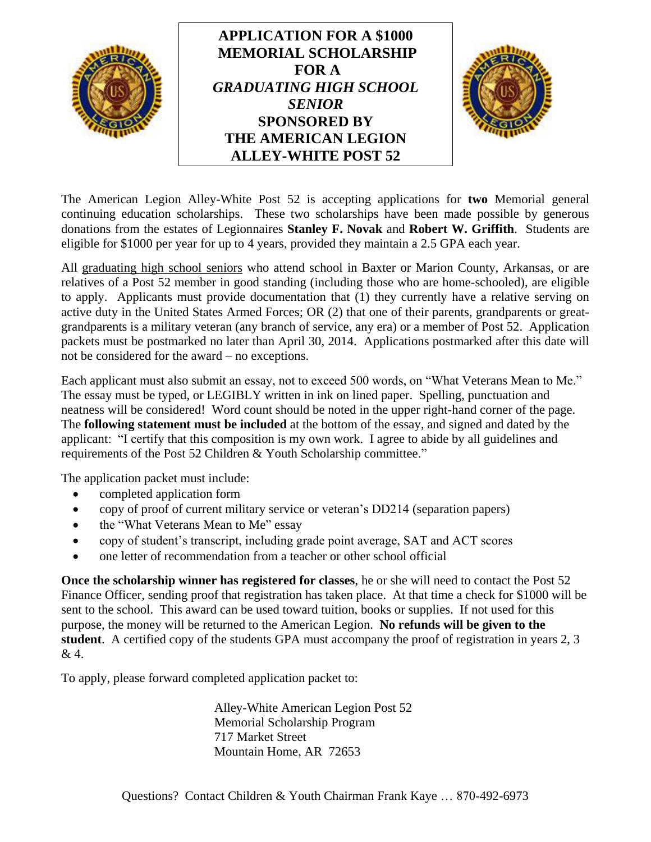

The American Legion Alley-White Post 52 is accepting applications for **two** Memorial general continuing education scholarships. These two scholarships have been made possible by generous donations from the estates of Legionnaires **Stanley F. Novak** and **Robert W. Griffith**. Students are eligible for \$1000 per year for up to 4 years, provided they maintain a 2.5 GPA each year.

All graduating high school seniors who attend school in Baxter or Marion County, Arkansas, or are relatives of a Post 52 member in good standing (including those who are home-schooled), are eligible to apply. Applicants must provide documentation that (1) they currently have a relative serving on active duty in the United States Armed Forces; OR (2) that one of their parents, grandparents or greatgrandparents is a military veteran (any branch of service, any era) or a member of Post 52. Application packets must be postmarked no later than April 30, 2014.Applications postmarked after this date will not be considered for the award – no exceptions.

Each applicant must also submit an essay, not to exceed 500 words, on "What Veterans Mean to Me." The essay must be typed, or LEGIBLY written in ink on lined paper. Spelling, punctuation and neatness will be considered! Word count should be noted in the upper right-hand corner of the page. The **following statement must be included** at the bottom of the essay, and signed and dated by the applicant: "I certify that this composition is my own work. I agree to abide by all guidelines and requirements of the Post 52 Children & Youth Scholarship committee."

The application packet must include:

- completed application form
- copy of proof of current military service or veteran's DD214 (separation papers)
- the "What Veterans Mean to Me" essay
- copy of student's transcript, including grade point average, SAT and ACT scores
- one letter of recommendation from a teacher or other school official

**Once the scholarship winner has registered for classes**, he or she will need to contact the Post 52 Finance Officer, sending proof that registration has taken place. At that time a check for \$1000 will be sent to the school. This award can be used toward tuition, books or supplies. If not used for this purpose, the money will be returned to the American Legion. **No refunds will be given to the student**. A certified copy of the students GPA must accompany the proof of registration in years 2, 3 & 4.

To apply, please forward completed application packet to:

Alley-White American Legion Post 52 Memorial Scholarship Program 717 Market Street Mountain Home, AR 72653